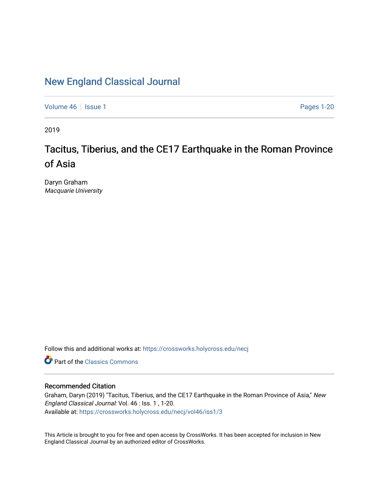# [New England Classical Journal](https://crossworks.holycross.edu/necj)

[Volume 46](https://crossworks.holycross.edu/necj/vol46) | [Issue 1](https://crossworks.holycross.edu/necj/vol46/iss1) Pages 1-20

2019

# Tacitus, Tiberius, and the CE17 Earthquake in the Roman Province of Asia

Daryn Graham Macquarie University

Follow this and additional works at: [https://crossworks.holycross.edu/necj](https://crossworks.holycross.edu/necj?utm_source=crossworks.holycross.edu%2Fnecj%2Fvol46%2Fiss1%2F3&utm_medium=PDF&utm_campaign=PDFCoverPages) 

**C** Part of the [Classics Commons](http://network.bepress.com/hgg/discipline/446?utm_source=crossworks.holycross.edu%2Fnecj%2Fvol46%2Fiss1%2F3&utm_medium=PDF&utm_campaign=PDFCoverPages)

### Recommended Citation

Graham, Daryn (2019) "Tacitus, Tiberius, and the CE17 Earthquake in the Roman Province of Asia," New England Classical Journal: Vol. 46 : Iss. 1 , 1-20. Available at: [https://crossworks.holycross.edu/necj/vol46/iss1/3](https://crossworks.holycross.edu/necj/vol46/iss1/3?utm_source=crossworks.holycross.edu%2Fnecj%2Fvol46%2Fiss1%2F3&utm_medium=PDF&utm_campaign=PDFCoverPages) 

This Article is brought to you for free and open access by CrossWorks. It has been accepted for inclusion in New England Classical Journal by an authorized editor of CrossWorks.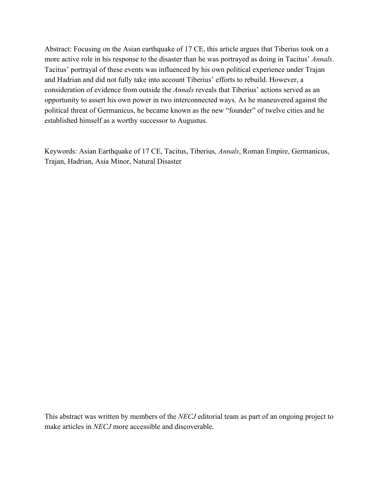Abstract: Focusing on the Asian earthquake of 17 CE, this article argues that Tiberius took on a more active role in his response to the disaster than he was portrayed as doing in Tacitus' *Annals*. Tacitus' portrayal of these events was influenced by his own political experience under Trajan and Hadrian and did not fully take into account Tiberius' efforts to rebuild. However, a consideration of evidence from outside the *Annals* reveals that Tiberius' actions served as an opportunity to assert his own power in two interconnected ways. As he maneuvered against the political threat of Germanicus, he became known as the new "founder" of twelve cities and he established himself as a worthy successor to Augustus.

Keywords: Asian Earthquake of 17 CE, Tacitus, Tiberius, *Annals*, Roman Empire, Germanicus, Trajan, Hadrian, Asia Minor, Natural Disaster

This abstract was written by members of the *NECJ* editorial team as part of an ongoing project to make articles in *NECJ* more accessible and discoverable.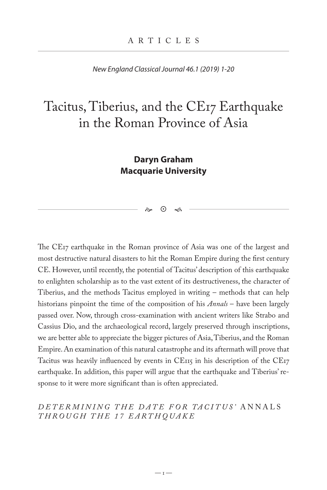*New England Classical Journal 46.1 (2019) 1-20*

# Tacitus, Tiberius, and the CE17 Earthquake in the Roman Province of Asia

## **Daryn Graham Macquarie University**

 $\approx$   $\Omega$   $\approx$ 

The CE17 earthquake in the Roman province of Asia was one of the largest and most destructive natural disasters to hit the Roman Empire during the first century CE. However, until recently, the potential of Tacitus' description of this earthquake to enlighten scholarship as to the vast extent of its destructiveness, the character of Tiberius, and the methods Tacitus employed in writing – methods that can help historians pinpoint the time of the composition of his *Annals* – have been largely passed over. Now, through cross-examination with ancient writers like Strabo and Cassius Dio, and the archaeological record, largely preserved through inscriptions, we are better able to appreciate the bigger pictures of Asia, Tiberius, and the Roman Empire. An examination of this natural catastrophe and its aftermath will prove that Tacitus was heavily influenced by events in CE115 in his description of the CE17 earthquake. In addition, this paper will argue that the earthquake and Tiberius' response to it were more significant than is often appreciated.

#### *DETERMININ G THE DATE FOR TACITUS'* ANNALS *THROUGH THE 17 EARTHQUAKE*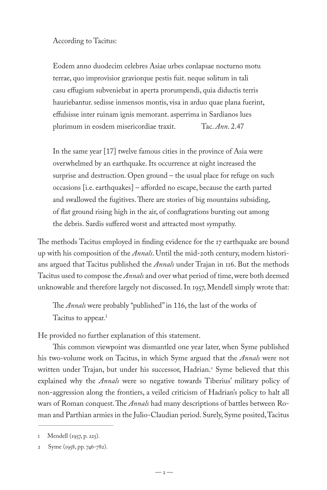According to Tacitus:

Eodem anno duodecim celebres Asiae urbes conlapsae nocturno motu terrae, quo improvisior graviorque pestis fuit. neque solitum in tali casu effugium subveniebat in aperta prorumpendi, quia diductis terris hauriebantur. sedisse inmensos montis, visa in arduo quae plana fuerint, effulsisse inter ruinam ignis memorant. asperrima in Sardianos lues plurimum in eosdem misericordiae traxit. Tac. *Ann*. 2.47

In the same year [17] twelve famous cities in the province of Asia were overwhelmed by an earthquake. Its occurrence at night increased the surprise and destruction. Open ground – the usual place for refuge on such occasions [i.e. earthquakes] – afforded no escape, because the earth parted and swallowed the fugitives. There are stories of big mountains subsiding, of flat ground rising high in the air, of conflagrations bursting out among the debris. Sardis suffered worst and attracted most sympathy.

The methods Tacitus employed in finding evidence for the 17 earthquake are bound up with his composition of the *Annals*. Until the mid-20th century, modern historians argued that Tacitus published the *Annals* under Trajan in 116. But the methods Tacitus used to compose the *Annals* and over what period of time, were both deemed unknowable and therefore largely not discussed. In 1957, Mendell simply wrote that:

The *Annals* were probably "published" in 116, the last of the works of Tacitus to appear.<sup>1</sup>

He provided no further explanation of this statement.

This common viewpoint was dismantled one year later, when Syme published his two-volume work on Tacitus, in which Syme argued that the *Annals* were not written under Trajan, but under his successor, Hadrian.<sup>2</sup> Syme believed that this explained why the *Annals* were so negative towards Tiberius' military policy of non-aggression along the frontiers, a veiled criticism of Hadrian's policy to halt all wars of Roman conquest. The *Annals* had many descriptions of battles between Roman and Parthian armies in the Julio-Claudian period. Surely, Syme posited, Tacitus

Mendell (1957, p. 225).

<sup>2</sup> Syme (1958, pp. 746-782).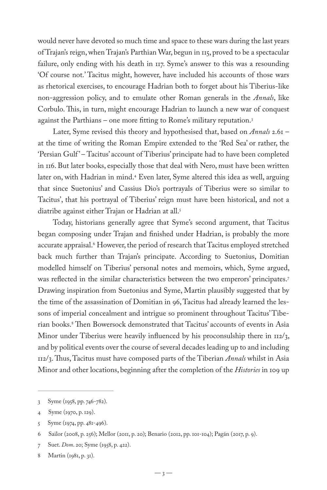would never have devoted so much time and space to these wars during the last years of Trajan's reign, when Trajan's Parthian War, begun in 115, proved to be a spectacular failure, only ending with his death in 117. Syme's answer to this was a resounding 'Of course not.' Tacitus might, however, have included his accounts of those wars as rhetorical exercises, to encourage Hadrian both to forget about his Tiberius-like non-aggression policy, and to emulate other Roman generals in the *Annals*, like Corbulo. This, in turn, might encourage Hadrian to launch a new war of conquest against the Parthians – one more fitting to Rome's military reputation.3

Later, Syme revised this theory and hypothesised that, based on *Annals* 2.61 – at the time of writing the Roman Empire extended to the 'Red Sea' or rather, the 'Persian Gulf' – Tacitus' account of Tiberius' principate had to have been completed in 116. But later books, especially those that deal with Nero, must have been written later on, with Hadrian in mind.4 Even later, Syme altered this idea as well, arguing that since Suetonius' and Cassius Dio's portrayals of Tiberius were so similar to Tacitus', that his portrayal of Tiberius' reign must have been historical, and not a diatribe against either Trajan or Hadrian at all.<sup>5</sup>

Today, historians generally agree that Syme's second argument, that Tacitus began composing under Trajan and finished under Hadrian, is probably the more accurate appraisal.6 However, the period of research that Tacitus employed stretched back much further than Trajan's principate. According to Suetonius, Domitian modelled himself on Tiberius' personal notes and memoirs, which, Syme argued, was reflected in the similar characteristics between the two emperors' principates.7 Drawing inspiration from Suetonius and Syme, Martin plausibly suggested that by the time of the assassination of Domitian in 96, Tacitus had already learned the lessons of imperial concealment and intrigue so prominent throughout Tacitus' Tiberian books.8 Then Bowersock demonstrated that Tacitus' accounts of events in Asia Minor under Tiberius were heavily influenced by his proconsulship there in  $\text{II2}/3$ , and by political events over the course of several decades leading up to and including 112/3. Thus, Tacitus must have composed parts of the Tiberian *Annals* whilst in Asia Minor and other locations, beginning after the completion of the *Histories* in 109 up

<sup>3</sup> Syme (1958, pp. 746-782).

<sup>4</sup> Syme (1970, p. 129).

<sup>5</sup> Syme (1974, pp. 481-496).

<sup>6</sup> Sailor (2008, p. 256); Mellor (2011, p. 20); Benario (2012, pp. 101-104); Pagán (2017, p. 9).

<sup>7</sup> Suet. *Dom*. 20; Syme (1958, p. 422).

<sup>8</sup> Martin (1981, p. 31).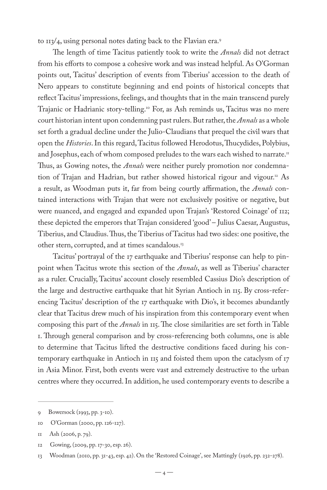to  $113/4$ , using personal notes dating back to the Flavian era.<sup>9</sup>

The length of time Tacitus patiently took to write the *Annals* did not detract from his efforts to compose a cohesive work and was instead helpful. As O'Gorman points out, Tacitus' description of events from Tiberius' accession to the death of Nero appears to constitute beginning and end points of historical concepts that reflect Tacitus' impressions, feelings, and thoughts that in the main transcend purely Trajanic or Hadrianic story-telling.<sup>10</sup> For, as Ash reminds us, Tacitus was no mere court historian intent upon condemning past rulers. But rather, the *Annals* as a whole set forth a gradual decline under the Julio-Claudians that prequel the civil wars that open the *Histories*. In this regard, Tacitus followed Herodotus, Thucydides, Polybius, and Josephus, each of whom composed preludes to the wars each wished to narrate.<sup>11</sup> Thus, as Gowing notes, the *Annals* were neither purely promotion nor condemnation of Trajan and Hadrian, but rather showed historical rigour and vigour.<sup>12</sup> As a result, as Woodman puts it, far from being courtly affirmation, the *Annals* contained interactions with Trajan that were not exclusively positive or negative, but were nuanced, and engaged and expanded upon Trajan's 'Restored Coinage' of 112; these depicted the emperors that Trajan considered 'good' – Julius Caesar, Augustus, Tiberius, and Claudius. Thus, the Tiberius of Tacitus had two sides: one positive, the other stern, corrupted, and at times scandalous.<sup>13</sup>

Tacitus' portrayal of the 17 earthquake and Tiberius' response can help to pinpoint when Tacitus wrote this section of the *Annals*, as well as Tiberius' character as a ruler. Crucially, Tacitus' account closely resembled Cassius Dio's description of the large and destructive earthquake that hit Syrian Antioch in 115. By cross-referencing Tacitus' description of the 17 earthquake with Dio's, it becomes abundantly clear that Tacitus drew much of his inspiration from this contemporary event when composing this part of the *Annals* in 115. The close similarities are set forth in Table 1. Through general comparison and by cross-referencing both columns, one is able to determine that Tacitus lifted the destructive conditions faced during his contemporary earthquake in Antioch in 115 and foisted them upon the cataclysm of 17 in Asia Minor. First, both events were vast and extremely destructive to the urban centres where they occurred. In addition, he used contemporary events to describe a

<sup>9</sup> Bowersock (1993, pp. 3-10).

<sup>10</sup> O'Gorman (2000, pp. 126-127).

<sup>11</sup> Ash (2006, p. 79).

<sup>12</sup> Gowing, (2009, pp. 17-30, esp. 26).

<sup>13</sup> Woodman (2010, pp. 31-43, esp. 42). On the 'Restored Coinage', see Mattingly (1926, pp. 232-278).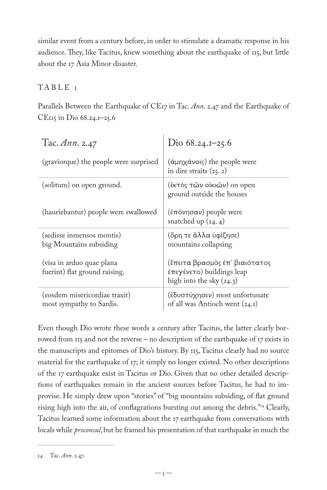similar event from a century before, in order to stimulate a dramatic response in his audience. They, like Tacitus, knew something about the earthquake of 115, but little about the 17 Asia Minor disaster.

### TABLE<sub>I</sub>

Parallels Between the Earthquake of CE17 in Tac. *Ann*. 2.47 and the Earthquake of CE115 in Dio 68.24.1–25.6

| Tac. $Ann. 2.47$                                           | Dio $68.24.1 - 25.6$                                                                                |
|------------------------------------------------------------|-----------------------------------------------------------------------------------------------------|
| (graviorque) the people were surprised                     | $(\dot{\alpha} \mu \eta \chi \dot{\alpha} \nu o \iota)$ the people were<br>in dire straits $(25.2)$ |
| (solitum) on open ground.                                  | (έκτός των οίκιων) on open<br>ground outside the houses                                             |
| (hauriebantur) people were swallowed                       | (ἐπόνησαν) people were<br>snatched up $(24.4)$                                                      |
| (sedisse inmensos montis)<br>big Mountains subsiding       | (ὄρη τε ἄλλα ὑφίζησε)<br>mountains collapsing                                                       |
| (visa in arduo quae plana<br>fuerint) flat ground raising. | (ἒπειτα βρασμὸς ἐπ᾽ βιαιότατος<br>έπεγένετο) buildings leap<br>high into the sky $(24.3)$           |
| (eosdem misericordiae traxit)<br>most sympathy to Sardis.  | (έδυστύχησεν) most unfortunate<br>of all was Antioch went (24.1)                                    |

Even though Dio wrote these words a century after Tacitus, the latter clearly borrowed from 115 and not the reverse – no description of the earthquake of 17 exists in the manuscripts and epitomes of Dio's history. By 115, Tacitus clearly had no source material for the earthquake of 17; it simply no longer existed. No other descriptions of the 17 earthquake exist in Tacitus or Dio. Given that no other detailed descriptions of earthquakes remain in the ancient sources before Tacitus, he had to improvise. He simply drew upon "stories" of "big mountains subsiding, of flat ground rising high into the air, of conflagrations bursting out among the debris."<sup>14</sup> Clearly, Tacitus learned some information about the 17 earthquake from conversations with locals while *proconsul*, but he framed his presentation of that earthquake in much the

<sup>14</sup> Tac. *Ann*. 2.47.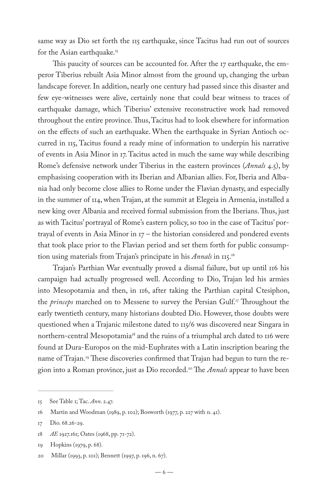same way as Dio set forth the 115 earthquake, since Tacitus had run out of sources for the Asian earthquake.<sup>15</sup>

This paucity of sources can be accounted for. After the 17 earthquake, the emperor Tiberius rebuilt Asia Minor almost from the ground up, changing the urban landscape forever. In addition, nearly one century had passed since this disaster and few eye-witnesses were alive, certainly none that could bear witness to traces of earthquake damage, which Tiberius' extensive reconstructive work had removed throughout the entire province. Thus, Tacitus had to look elsewhere for information on the effects of such an earthquake. When the earthquake in Syrian Antioch occurred in 115, Tacitus found a ready mine of information to underpin his narrative of events in Asia Minor in 17. Tacitus acted in much the same way while describing Rome's defensive network under Tiberius in the eastern provinces (*Annals* 4.5), by emphasising cooperation with its Iberian and Albanian allies. For, Iberia and Albania had only become close allies to Rome under the Flavian dynasty, and especially in the summer of 114, when Trajan, at the summit at Elegeia in Armenia, installed a new king over Albania and received formal submission from the Iberians. Thus, just as with Tacitus' portrayal of Rome's eastern policy, so too in the case of Tacitus' portrayal of events in Asia Minor in  $17$  – the historian considered and pondered events that took place prior to the Flavian period and set them forth for public consumption using materials from Trajan's principate in his *Annals* in 115.16

Trajan's Parthian War eventually proved a dismal failure, but up until 116 his campaign had actually progressed well. According to Dio, Trajan led his armies into Mesopotamia and then, in 116, after taking the Parthian capital Ctesiphon, the *princeps* marched on to Messene to survey the Persian Gulf.17 Throughout the early twentieth century, many historians doubted Dio. However, those doubts were questioned when a Trajanic milestone dated to 115/6 was discovered near Singara in northern-central Mesopotamia<sup>18</sup> and the ruins of a triumphal arch dated to 116 were found at Dura-Europos on the mid-Euphrates with a Latin inscription bearing the name of Trajan.<sup>19</sup> These discoveries confirmed that Trajan had begun to turn the region into a Roman province, just as Dio recorded.20 The *Annals* appear to have been

<sup>15</sup> See Table 1; Tac. *Ann*. 2.47.

<sup>16</sup> Martin and Woodman (1989, p. 102); Bosworth (1977, p. 227 with n. 41).

<sup>17</sup> Dio. 68.26-29.

<sup>18</sup> *AE* 1927.161; Oates (1968, pp. 71-72).

<sup>19</sup> Hopkins (1979, p. 68).

<sup>20</sup> Millar (1993, p. 101); Bennett (1997, p. 196, n. 67).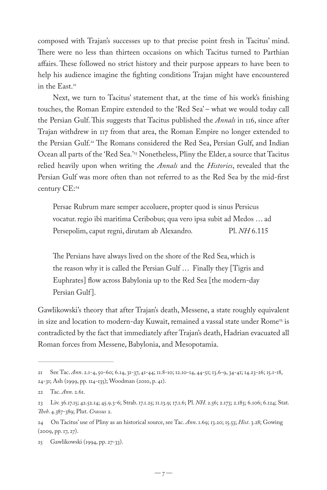composed with Trajan's successes up to that precise point fresh in Tacitus' mind. There were no less than thirteen occasions on which Tacitus turned to Parthian affairs. These followed no strict history and their purpose appears to have been to help his audience imagine the fighting conditions Trajan might have encountered in the East.<sup>21</sup>

Next, we turn to Tacitus' statement that, at the time of his work's finishing touches, the Roman Empire extended to the 'Red Sea' – what we would today call the Persian Gulf. This suggests that Tacitus published the *Annals* in 116, since after Trajan withdrew in 117 from that area, the Roman Empire no longer extended to the Persian Gulf.22 The Romans considered the Red Sea, Persian Gulf, and Indian Ocean all parts of the 'Red Sea.'23 Nonetheless, Pliny the Elder, a source that Tacitus relied heavily upon when writing the *Annals* and the *Histories*, revealed that the Persian Gulf was more often than not referred to as the Red Sea by the mid-first century CE:24

Persae Rubrum mare semper accoluere, propter quod is sinus Persicus vocatur. regio ibi maritima Ceribobus; qua vero ipsa subit ad Medos … ad Persepolim, caput regni, dirutam ab Alexandro. Pl. *NH* 6.115

The Persians have always lived on the shore of the Red Sea, which is the reason why it is called the Persian Gulf … Finally they [Tigris and Euphrates] flow across Babylonia up to the Red Sea [the modern-day Persian Gulf<sup>1</sup>.

Gawlikowski's theory that after Trajan's death, Messene, a state roughly equivalent in size and location to modern-day Kuwait, remained a vassal state under Rome<sup>25</sup> is contradicted by the fact that immediately after Trajan's death, Hadrian evacuated all Roman forces from Messene, Babylonia, and Mesopotamia.

<sup>21</sup> See Tac. *Ann*. 2.1-4, 50-60; 6.14, 31-37, 41-44; 11.8-10; 12.10-14, 44-51; 13.6-9, 34-41; 14.23-26; 15.1-18, 24-31; Ash (1999, pp. 114-135); Woodman (2010, p. 41).

<sup>22</sup> Tac. *Ann*. 2.61.

<sup>23</sup> Liv. 36.17.15; 42.52.14; 45.9.3-6; Strab. 17.1.25; 11.13.9; 17.1.6; Pl. *NH*. 2.56; 2.173; 2.183; 6.106; 6.124; Stat. *Theb*. 4.387-389; Plut. *Crassus* 2.

<sup>24</sup> On Tacitus' use of Pliny as an historical source, see Tac. *Ann*. 1.69; 13.20; 15.53; *Hist*. 3.28; Gowing (2009, pp. 17, 27).

<sup>25</sup> Gawlikowski (1994, pp. 27-33).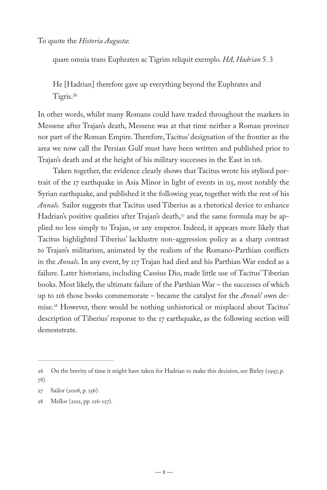To quote the *Historia Augusta*:

quare omnia trans Euphraten ac Tigrim reliquit exemplo. *HA, Hadrian* 5. 3

He [Hadrian] therefore gave up everything beyond the Euphrates and Tigris.26

In other words, whilst many Romans could have traded throughout the markets in Messene after Trajan's death, Messene was at that time neither a Roman province nor part of the Roman Empire. Therefore, Tacitus' designation of the frontier as the area we now call the Persian Gulf must have been written and published prior to Trajan's death and at the height of his military successes in the East in 116.

Taken together, the evidence clearly shows that Tacitus wrote his stylised portrait of the 17 earthquake in Asia Minor in light of events in 115, most notably the Syrian earthquake, and published it the following year, together with the rest of his *Annals.* Sailor suggests that Tacitus used Tiberius as a rhetorical device to enhance Hadrian's positive qualities after Trajan's death,<sup>27</sup> and the same formula may be applied no less simply to Trajan, or any emperor. Indeed, it appears more likely that Tacitus highlighted Tiberius' lacklustre non-aggression policy as a sharp contrast to Trajan's militarism, animated by the realism of the Romano-Parthian conflicts in the *Annals*. In any event, by 117 Trajan had died and his Parthian War ended as a failure. Later historians, including Cassius Dio, made little use of Tacitus' Tiberian books. Most likely, the ultimate failure of the Parthian War – the successes of which up to 116 those books commemorate – became the catalyst for the *Annals*' own demise.28 However, there would be nothing unhistorical or misplaced about Tacitus' description of Tiberius' response to the 17 earthquake, as the following section will demonstrate.

<sup>26</sup> On the brevity of time it might have taken for Hadrian to make this decision, see Birley (1997, p. 78).

<sup>27</sup> Sailor (2008, p. 256).

<sup>28</sup> Mellor (2011, pp. 126-127).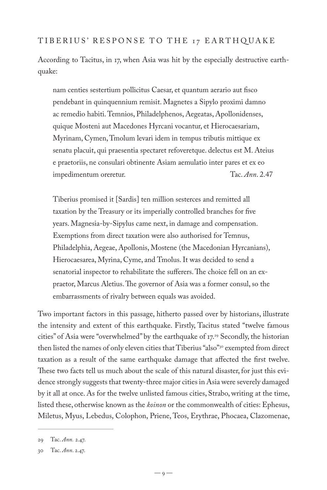#### TIBERIUS' RESPONSE TO THE 17 EARTHQUAKE

According to Tacitus, in 17, when Asia was hit by the especially destructive earthquake:

nam centies sestertium pollicitus Caesar, et quantum aerario aut fisco pendebant in quinquennium remisit. Magnetes a Sipylo proximi damno ac remedio habiti. Temnios, Philadelphenos, Aegeatas, Apollonidenses, quique Mosteni aut Macedones Hyrcani vocantur, et Hierocaesariam, Myrinam, Cymen, Tmolum levari idem in tempus tributis mittique ex senatu placuit, qui praesentia spectaret refoveretque. delectus est M. Ateius e praetoriis, ne consulari obtinente Asiam aemulatio inter pares et ex eo impedimentum oreretur. Tac. *Ann*. 2.47

Tiberius promised it [Sardis] ten million sesterces and remitted all taxation by the Treasury or its imperially controlled branches for five years. Magnesia-by-Sipylus came next, in damage and compensation. Exemptions from direct taxation were also authorised for Temnus, Philadelphia, Aegeae, Apollonis, Mostene (the Macedonian Hyrcanians), Hierocaesarea, Myrina, Cyme, and Tmolus. It was decided to send a senatorial inspector to rehabilitate the sufferers. The choice fell on an expraetor, Marcus Aletius. The governor of Asia was a former consul, so the embarrassments of rivalry between equals was avoided.

Two important factors in this passage, hitherto passed over by historians, illustrate the intensity and extent of this earthquake. Firstly, Tacitus stated "twelve famous cities" of Asia were "overwhelmed" by the earthquake of 17.<sup>29</sup> Secondly, the historian then listed the names of only eleven cities that Tiberius "also"<sup>30</sup> exempted from direct taxation as a result of the same earthquake damage that affected the first twelve. These two facts tell us much about the scale of this natural disaster, for just this evidence strongly suggests that twenty-three major cities in Asia were severely damaged by it all at once. As for the twelve unlisted famous cities, Strabo, writing at the time, listed these, otherwise known as the *koinon* or the commonwealth of cities: Ephesus, Miletus, Myus, Lebedus, Colophon, Priene, Teos, Erythrae, Phocaea, Clazomenae,

<sup>29</sup> Tac. *Ann.* 2.47.

<sup>30</sup> Tac. *Ann*. 2.47.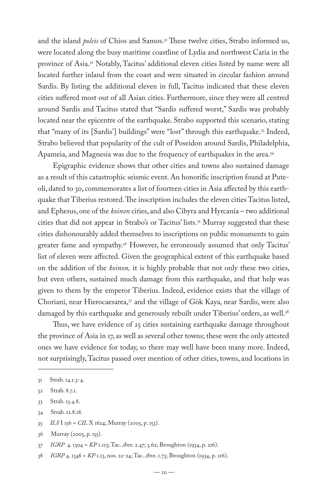and the island *poleis* of Chios and Samos.<sup>31</sup> These twelve cities, Strabo informed us, were located along the busy maritime coastline of Lydia and northwest Caria in the province of Asia.<sup>32</sup> Notably, Tacitus' additional eleven cities listed by name were all located further inland from the coast and were situated in circular fashion around Sardis. By listing the additional eleven in full, Tacitus indicated that these eleven cities suffered most out of all Asian cities. Furthermore, since they were all centred around Sardis and Tacitus stated that "Sardis suffered worst," Sardis was probably located near the epicentre of the earthquake. Strabo supported this scenario, stating that "many of its [Sardis'] buildings" were "lost" through this earthquake.33 Indeed, Strabo believed that popularity of the cult of Poseidon around Sardis, Philadelphia, Apameia, and Magnesia was due to the frequency of earthquakes in the area.34

Epigraphic evidence shows that other cities and towns also sustained damage as a result of this catastrophic seismic event. An honorific inscription found at Puteoli, dated to 30, commemorates a list of fourteen cities in Asia affected by this earthquake that Tiberius restored. The inscription includes the eleven cities Tacitus listed, and Ephesus, one of the *koinon* cities, and also Cibyra and Hyrcania – two additional cities that did not appear in Strabo's or Tacitus' lists.35 Murray suggested that these cities dishonourably added themselves to inscriptions on public monuments to gain greater fame and sympathy.<sup>36</sup> However, he erroneously assumed that only Tacitus' list of eleven were affected. Given the geographical extent of this earthquake based on the addition of the *koinon,* it is highly probable that not only these two cities, but even others, sustained much damage from this earthquake, and that help was given to them by the emperor Tiberius. Indeed, evidence exists that the village of Choriani, near Hierocaesarea,<sup>37</sup> and the village of Gök Kaya, near Sardis, were also damaged by this earthquake and generously rebuilt under Tiberius' orders, as well.<sup>38</sup>

Thus, we have evidence of 25 cities sustaining earthquake damage throughout the province of Asia in 17, as well as several other towns; these were the only attested ones we have evidence for today, so there may well have been many more. Indeed, not surprisingly, Tacitus passed over mention of other cities, towns, and locations in

- 34 Strab. 12.8.18.
- 35 *ILS* I 156 = *CIL* X 1624; Murray (2005, p. 153).

36 Murray (2005, p. 155).

38 *IGRP* 4. 1348 = *KP* 1.13, nos. 22-24; Tac. *Ann*. 1.73; Broughton (1934, p. 216).

<sup>31</sup> Strab. 14.1.3-4.

<sup>32</sup> Strab. 8.7.1.

<sup>33</sup> Strab. 13.4.8.

<sup>37</sup> *IGRP* 4. 1304 = *KP* 1.113; Tac. *Ann*. 2.47; 3.62; Broughton (1934, p. 216).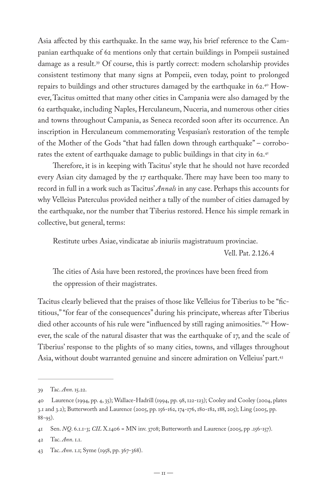Asia affected by this earthquake. In the same way, his brief reference to the Campanian earthquake of 62 mentions only that certain buildings in Pompeii sustained damage as a result.39 Of course, this is partly correct: modern scholarship provides consistent testimony that many signs at Pompeii, even today, point to prolonged repairs to buildings and other structures damaged by the earthquake in 62.40 However, Tacitus omitted that many other cities in Campania were also damaged by the 62 earthquake, including Naples, Herculaneum, Nuceria, and numerous other cities and towns throughout Campania, as Seneca recorded soon after its occurrence. An inscription in Herculaneum commemorating Vespasian's restoration of the temple of the Mother of the Gods "that had fallen down through earthquake" – corroborates the extent of earthquake damage to public buildings in that city in 62.<sup>41</sup>

Therefore, it is in keeping with Tacitus' style that he should not have recorded every Asian city damaged by the 17 earthquake. There may have been too many to record in full in a work such as Tacitus' *Annals* in any case. Perhaps this accounts for why Velleius Paterculus provided neither a tally of the number of cities damaged by the earthquake, nor the number that Tiberius restored. Hence his simple remark in collective, but general, terms:

Restitute urbes Asiae, vindicatae ab iniuriis magistratuum provinciae.

Vell. Pat. 2.126.4

The cities of Asia have been restored, the provinces have been freed from the oppression of their magistrates.

Tacitus clearly believed that the praises of those like Velleius for Tiberius to be "fictitious," "for fear of the consequences" during his principate, whereas after Tiberius died other accounts of his rule were "influenced by still raging animosities."42 However, the scale of the natural disaster that was the earthquake of 17, and the scale of Tiberius' response to the plights of so many cities, towns, and villages throughout Asia, without doubt warranted genuine and sincere admiration on Velleius' part.43

<sup>39</sup> Tac. *Ann*. 15.22.

<sup>40</sup> Laurence (1994, pp. 4, 35); Wallace-Hadrill (1994, pp. 98, 122-123); Cooley and Cooley (2004, plates 3.1 and 3.2); Butterworth and Laurence (2005, pp. 156-162, 174-176, 180-182, 188, 205); Ling (2005, pp. 88-95).

<sup>41</sup> Sen. *NQ*. 6.1.1-3; *CIL* X.1406 = MN inv. 3708; Butterworth and Laurence (2005, pp .156-157).

<sup>42</sup> Tac. *Ann*. 1.1.

<sup>43</sup> Tac. *Ann*. 1.1; Syme (1958, pp. 367-368).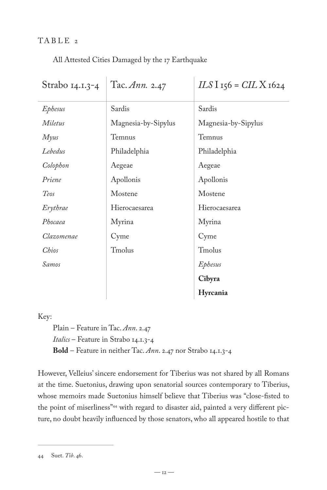### TABLE 2

All Attested Cities Damaged by the 17 Earthquake

| Strabo 14.1.3-4 | Tac. Ann. 2.47      | $ILS1$ 156 = $CILX$ 1624 |
|-----------------|---------------------|--------------------------|
| Ephesus         | Sardis              | Sardis                   |
| Miletus         | Magnesia-by-Sipylus | Magnesia-by-Sipylus      |
| <i>Myus</i>     | Temnus              | Temnus                   |
| Lebedus         | Philadelphia        | Philadelphia             |
| Colophon        | Aegeae              | Aegeae                   |
| Priene          | Apollonis           | Apollonis                |
| Teos            | Mostene             | Mostene                  |
| Erythrae        | Hierocaesarea       | Hierocaesarea            |
| Phocaea         | Myrina              | Myrina                   |
| Clazomenae      | Cyme                | Cyme                     |
| Chios           | Tmolus              | Tmolus                   |
| Samos           |                     | Ephesus                  |
|                 |                     | Cibyra                   |
|                 |                     | Hyrcania                 |

Key:

Plain – Feature in Tac. *Ann*. 2.47 *Italics* – Feature in Strabo 14.1.3-4 **Bold** – Feature in neither Tac. *Ann*. 2.47 nor Strabo 14.1.3-4

However, Velleius' sincere endorsement for Tiberius was not shared by all Romans at the time. Suetonius, drawing upon senatorial sources contemporary to Tiberius, whose memoirs made Suetonius himself believe that Tiberius was "close-fisted to the point of miserliness"44 with regard to disaster aid, painted a very different picture, no doubt heavily influenced by those senators, who all appeared hostile to that

<sup>44</sup> Suet. *Tib*. 46.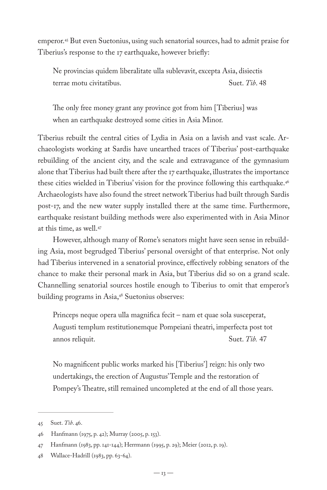emperor.45 But even Suetonius, using such senatorial sources, had to admit praise for Tiberius's response to the 17 earthquake, however briefly:

Ne provincias quidem liberalitate ulla sublevavit, excepta Asia, disiectis terrae motu civitatibus. Suet. *Tib*. 48

The only free money grant any province got from him [Tiberius] was when an earthquake destroyed some cities in Asia Minor.

Tiberius rebuilt the central cities of Lydia in Asia on a lavish and vast scale. Archaeologists working at Sardis have unearthed traces of Tiberius' post-earthquake rebuilding of the ancient city, and the scale and extravagance of the gymnasium alone that Tiberius had built there after the 17 earthquake, illustrates the importance these cities wielded in Tiberius' vision for the province following this earthquake.<sup>46</sup> Archaeologists have also found the street network Tiberius had built through Sardis post-17, and the new water supply installed there at the same time. Furthermore, earthquake resistant building methods were also experimented with in Asia Minor at this time, as well.47

However, although many of Rome's senators might have seen sense in rebuilding Asia, most begrudged Tiberius' personal oversight of that enterprise. Not only had Tiberius intervened in a senatorial province, effectively robbing senators of the chance to make their personal mark in Asia, but Tiberius did so on a grand scale. Channelling senatorial sources hostile enough to Tiberius to omit that emperor's building programs in Asia,<sup>48</sup> Suetonius observes:

Princeps neque opera ulla magnifica fecit – nam et quae sola susceperat, Augusti templum restitutionemque Pompeiani theatri, imperfecta post tot annos reliquit. Suet. *Tib.* 47

No magnificent public works marked his [Tiberius'] reign: his only two undertakings, the erection of Augustus' Temple and the restoration of Pompey's Theatre, still remained uncompleted at the end of all those years.

<sup>45</sup> Suet. *Tib*. 46.

<sup>46</sup> Hanfmann (1975, p. 42); Murray (2005, p. 153).

<sup>47</sup> Hanfmann (1983, pp. 141-144); Herrmann (1995, p. 29); Meier (2012, p. 19).

<sup>48</sup> Wallace-Hadrill (1983, pp. 63-64).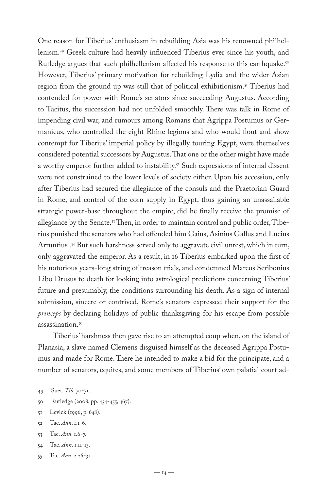One reason for Tiberius' enthusiasm in rebuilding Asia was his renowned philhellenism.49 Greek culture had heavily influenced Tiberius ever since his youth, and Rutledge argues that such philhellenism affected his response to this earthquake.<sup>50</sup> However, Tiberius' primary motivation for rebuilding Lydia and the wider Asian region from the ground up was still that of political exhibitionism.51 Tiberius had contended for power with Rome's senators since succeeding Augustus. According to Tacitus, the succession had not unfolded smoothly. There was talk in Rome of impending civil war, and rumours among Romans that Agrippa Postumus or Germanicus, who controlled the eight Rhine legions and who would flout and show contempt for Tiberius' imperial policy by illegally touring Egypt, were themselves considered potential successors by Augustus. That one or the other might have made a worthy emperor further added to instability.<sup>52</sup> Such expressions of internal dissent were not constrained to the lower levels of society either. Upon his accession, only after Tiberius had secured the allegiance of the consuls and the Praetorian Guard in Rome, and control of the corn supply in Egypt, thus gaining an unassailable strategic power-base throughout the empire, did he finally receive the promise of allegiance by the Senate.<sup>53</sup> Then, in order to maintain control and public order, Tiberius punished the senators who had offended him Gaius, Asinius Gallus and Lucius Arruntius .<sup>54</sup> But such harshness served only to aggravate civil unrest, which in turn, only aggravated the emperor. As a result, in 16 Tiberius embarked upon the first of his notorious years-long string of treason trials, and condemned Marcus Scribonius Libo Drusus to death for looking into astrological predictions concerning Tiberius' future and presumably, the conditions surrounding his death. As a sign of internal submission, sincere or contrived, Rome's senators expressed their support for the *princeps* by declaring holidays of public thanksgiving for his escape from possible assassination.55

Tiberius' harshness then gave rise to an attempted coup when, on the island of Planasia, a slave named Clemens disguised himself as the deceased Agrippa Postumus and made for Rome. There he intended to make a bid for the principate, and a number of senators, equites, and some members of Tiberius' own palatial court ad-

50 Rutledge (2008, pp. 454-455, 467).

- 52 Tac. *Ann*. 1.1-6.
- 53 Tac. *Ann*. 1.6-7.
- 54 Tac. *Ann*. 1.11-13.
- 55 Tac. *Ann*. 2.26-31.

<sup>49</sup> Suet. *Tib*. 70-71.

<sup>51</sup> Levick (1996, p. 648).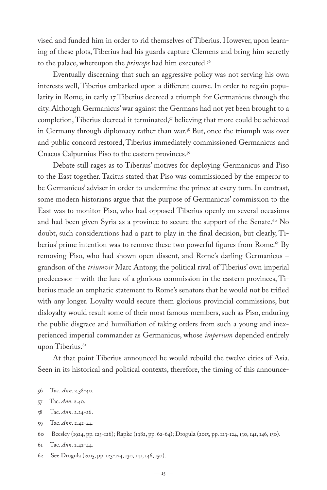vised and funded him in order to rid themselves of Tiberius. However, upon learning of these plots, Tiberius had his guards capture Clemens and bring him secretly to the palace, whereupon the *princeps* had him executed.56

Eventually discerning that such an aggressive policy was not serving his own interests well, Tiberius embarked upon a different course. In order to regain popularity in Rome, in early 17 Tiberius decreed a triumph for Germanicus through the city. Although Germanicus' war against the Germans had not yet been brought to a completion, Tiberius decreed it terminated,<sup>57</sup> believing that more could be achieved in Germany through diplomacy rather than war.<sup>58</sup> But, once the triumph was over and public concord restored, Tiberius immediately commissioned Germanicus and Cnaeus Calpurnius Piso to the eastern provinces.<sup>59</sup>

Debate still rages as to Tiberius' motives for deploying Germanicus and Piso to the East together. Tacitus stated that Piso was commissioned by the emperor to be Germanicus' adviser in order to undermine the prince at every turn. In contrast, some modern historians argue that the purpose of Germanicus' commission to the East was to monitor Piso, who had opposed Tiberius openly on several occasions and had been given Syria as a province to secure the support of the Senate.<sup>60</sup> No doubt, such considerations had a part to play in the final decision, but clearly, Tiberius' prime intention was to remove these two powerful figures from Rome.<sup>61</sup> By removing Piso, who had shown open dissent, and Rome's darling Germanicus – grandson of the *triumvir* Marc Antony, the political rival of Tiberius' own imperial predecessor – with the lure of a glorious commission in the eastern provinces, Tiberius made an emphatic statement to Rome's senators that he would not be trifled with any longer. Loyalty would secure them glorious provincial commissions, but disloyalty would result some of their most famous members, such as Piso, enduring the public disgrace and humiliation of taking orders from such a young and inexperienced imperial commander as Germanicus, whose *imperium* depended entirely upon Tiberius.<sup>62</sup>

At that point Tiberius announced he would rebuild the twelve cities of Asia. Seen in its historical and political contexts, therefore, the timing of this announce-

<sup>56</sup> Tac. *Ann*. 2.38-40.

<sup>57</sup> Tac. *Ann*. 2.40.

<sup>58</sup> Tac. *Ann*. 2.24-26.

<sup>59</sup> Tac. *Ann*. 2.42-44.

<sup>60</sup> Beesley (1924, pp. 125-126); Rapke (1982, pp. 62-64); Drogula (2015, pp. 123-124, 130, 141, 146, 150).

<sup>61</sup> Tac. *Ann*. 2.42-44.

<sup>62</sup> See Drogula (2015, pp. 123-124, 130, 141, 146, 150).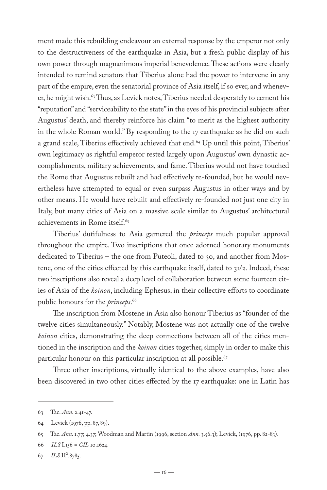ment made this rebuilding endeavour an external response by the emperor not only to the destructiveness of the earthquake in Asia, but a fresh public display of his own power through magnanimous imperial benevolence. These actions were clearly intended to remind senators that Tiberius alone had the power to intervene in any part of the empire, even the senatorial province of Asia itself, if so ever, and whenever, he might wish.<sup>63</sup> Thus, as Levick notes, Tiberius needed desperately to cement his "reputation" and "serviceability to the state" in the eyes of his provincial subjects after Augustus' death, and thereby reinforce his claim "to merit as the highest authority in the whole Roman world." By responding to the 17 earthquake as he did on such a grand scale, Tiberius effectively achieved that end.<sup>64</sup> Up until this point, Tiberius' own legitimacy as rightful emperor rested largely upon Augustus' own dynastic accomplishments, military achievements, and fame. Tiberius would not have touched the Rome that Augustus rebuilt and had effectively re-founded, but he would nevertheless have attempted to equal or even surpass Augustus in other ways and by other means. He would have rebuilt and effectively re-founded not just one city in Italy, but many cities of Asia on a massive scale similar to Augustus' architectural achievements in Rome itself.<sup>65</sup>

Tiberius' dutifulness to Asia garnered the *princeps* much popular approval throughout the empire. Two inscriptions that once adorned honorary monuments dedicated to Tiberius – the one from Puteoli, dated to 30, and another from Mostene, one of the cities effected by this earthquake itself, dated to 31/2. Indeed, these two inscriptions also reveal a deep level of collaboration between some fourteen cities of Asia of the *koinon*, including Ephesus, in their collective efforts to coordinate public honours for the *princeps*. 66

The inscription from Mostene in Asia also honour Tiberius as "founder of the twelve cities simultaneously." Notably, Mostene was not actually one of the twelve *koinon* cities, demonstrating the deep connections between all of the cities mentioned in the inscription and the *koinon* cities together, simply in order to make this particular honour on this particular inscription at all possible.<sup>67</sup>

Three other inscriptions, virtually identical to the above examples, have also been discovered in two other cities effected by the 17 earthquake: one in Latin has

<sup>63</sup> Tac. *Ann*. 2.41-47.

<sup>64</sup> Levick (1976, pp. 87, 89).

<sup>65</sup> Tac. *Ann*. 1.77; 4.37; Woodman and Martin (1996, section *Ann.* 3.56.3); Levick, (1976, pp. 82-83).

<sup>66</sup> *ILS* I.156 = *CIL* 10.1624.

<sup>67</sup> *ILS* II².8785.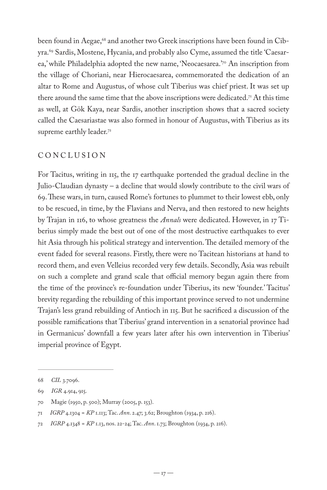been found in Aegae,<sup>68</sup> and another two Greek inscriptions have been found in Cibyra.69 Sardis, Mostene, Hycania, and probably also Cyme, assumed the title 'Caesarea,' while Philadelphia adopted the new name, 'Neocaesarea.'<sup>70</sup> An inscription from the village of Choriani, near Hierocaesarea, commemorated the dedication of an altar to Rome and Augustus, of whose cult Tiberius was chief priest. It was set up there around the same time that the above inscriptions were dedicated.<sup>71</sup> At this time as well, at Gök Kaya, near Sardis, another inscription shows that a sacred society called the Caesariastae was also formed in honour of Augustus, with Tiberius as its supreme earthly leader.<sup>72</sup>

#### CONCLUSION

For Tacitus, writing in 115, the 17 earthquake portended the gradual decline in the Julio-Claudian dynasty – a decline that would slowly contribute to the civil wars of 69. These wars, in turn, caused Rome's fortunes to plummet to their lowest ebb, only to be rescued, in time, by the Flavians and Nerva, and then restored to new heights by Trajan in 116, to whose greatness the *Annals* were dedicated. However, in 17 Tiberius simply made the best out of one of the most destructive earthquakes to ever hit Asia through his political strategy and intervention. The detailed memory of the event faded for several reasons. Firstly, there were no Tacitean historians at hand to record them, and even Velleius recorded very few details. Secondly, Asia was rebuilt on such a complete and grand scale that official memory began again there from the time of the province's re-foundation under Tiberius, its new 'founder.' Tacitus' brevity regarding the rebuilding of this important province served to not undermine Trajan's less grand rebuilding of Antioch in 115. But he sacrificed a discussion of the possible ramifications that Tiberius' grand intervention in a senatorial province had in Germanicus' downfall a few years later after his own intervention in Tiberius' imperial province of Egypt.

<sup>68</sup> *CIL* 3.7096.

<sup>69</sup> *IGR* 4.914, 915.

<sup>70</sup> Magie (1950, p. 500); Murray (2005, p. 153).

<sup>71</sup> *IGRP* 4.1304 = *KP* 1.113; Tac. *Ann*. 2.47; 3.62; Broughton (1934, p. 216).

<sup>72</sup> *IGRP* 4.1348 = *KP* 1.13, nos. 22-24; Tac. *Ann*. 1.73; Broughton (1934, p. 216).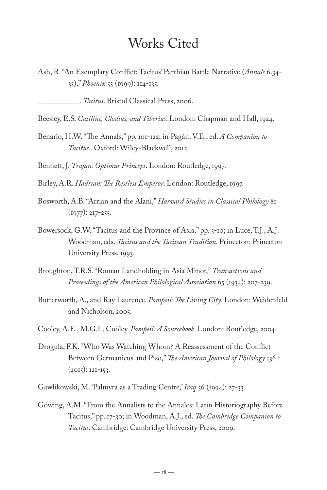# Works Cited

Ash, R. "An Exemplary Conflict: Tacitus' Parthian Battle Narrative (*Annals* 6.34- 35)," *Phoenix* 53 (1999): 114-135.

Beesley, E.S. *Catiline, Clodius, and Tiberius*. London: Chapman and Hall, 1924.

Benario, H.W. "The Annals," pp. 101-122; in Pagán, V.E., ed. *A Companion to Tacitus*. Oxford: Wiley-Blackwell, 2012.

Bennett, J. *Trajan: Optimus Princeps*. London: Routledge, 1997.

- Birley, A.R. *Hadrian: The Restless Emperor*. London: Routledge, 1997.
- Bosworth, A.B. "Arrian and the Alani," *Harvard Studies in Classical Philology* 81  $(1977): 217 - 255.$
- Bowersock, G.W. "Tacitus and the Province of Asia," pp. 3-10; in Luce, T.J., A.J. Woodman, eds. *Tacitus and the Tacitean Tradition*. Princeton: Princeton University Press, 1993.
- Broughton, T.R.S. "Roman Landholding in Asia Minor," *Transactions and Proceedings of the American Philological Association* 65 (1934): 207-239.
- Butterworth, A., and Ray Laurence. *Pompeii: The Living City*. London: Weidenfeld and Nicholson, 2005.
- Cooley, A.E., M.G.L. Cooley. *Pompeii: A Sourcebook*. London: Routledge, 2004.
- Drogula, F.K. "Who Was Watching Whom? A Reassessment of the Conflict Between Germanicus and Piso," *The American Journal of Philology* 136.1 (2015): 121-153.
- Gawlikowski, M. 'Palmyra as a Trading Centre,' *Iraq* 56 (1994): 27-33.
- Gowing, A.M. "From the Annalists to the Annales: Latin Historiography Before Tacitus," pp. 17-30; in Woodman, A.J., ed. *The Cambridge Companion to Tacitus*. Cambridge: Cambridge University Press, 2009.

\_\_\_\_\_\_\_\_\_\_\_. *Tacitus*. Bristol Classical Press, 2006.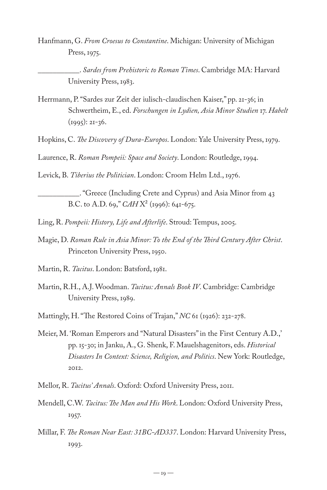Hanfmann, G. *From Croesus to Constantine*. Michigan: University of Michigan Press, 1975.

\_\_\_\_\_\_\_\_\_\_\_. *Sardes from Prehistoric to Roman Times*. Cambridge MA: Harvard University Press, 1983.

- Herrmann, P. "Sardes zur Zeit der iulisch-claudischen Kaiser," pp. 21-36; in Schwertheim, E., ed. *Forschungen in Lydien, Asia Minor Studien* 17. *Habelt* (1995): 21-36.
- Hopkins, C. *The Discovery of Dura-Europos*. London: Yale University Press, 1979.

Laurence, R. *Roman Pompeii: Space and Society*. London: Routledge, 1994.

Levick, B. *Tiberius the Politician*. London: Croom Helm Ltd., 1976.

\_\_\_\_\_\_\_\_\_\_\_. "Greece (Including Crete and Cyprus) and Asia Minor from 43 B.C. to A.D. 69," *CAH* X² (1996): 641-675.

- Ling, R. *Pompeii: History, Life and Afterlife*. Stroud: Tempus, 2005.
- Magie, D. *Roman Rule in Asia Minor: To the End of the Third Century After Christ*. Princeton University Press, 1950.
- Martin, R. *Tacitus*. London: Batsford, 1981.
- Martin, R.H., A.J. Woodman. *Tacitus: Annals Book IV*. Cambridge: Cambridge University Press, 1989.

Mattingly, H. "The Restored Coins of Trajan," *NC* 61 (1926): 232-278.

- Meier, M. 'Roman Emperors and "Natural Disasters" in the First Century A.D.,' pp. 15-30; in Janku, A., G. Shenk, F. Mauelshagenitors, eds. *Historical Disasters In Context: Science, Religion, and Politics*. New York: Routledge, 2012.
- Mellor, R. *Tacitus' Annals*. Oxford: Oxford University Press, 2011.
- Mendell, C.W. *Tacitus: The Man and His Work*. London: Oxford University Press, 1957.
- Millar, F. *The Roman Near East: 31BC-AD337*. London: Harvard University Press, 1993.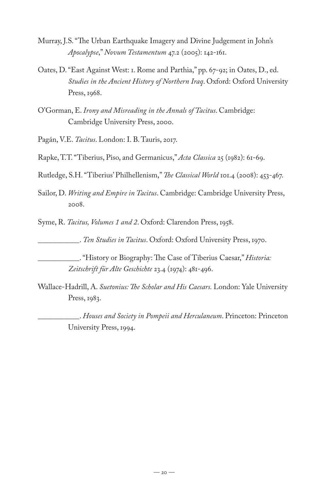- Murray, J.S. "The Urban Earthquake Imagery and Divine Judgement in John's *Apocalypse*," *Novum Testamentum* 47.2 (2005): 142-161.
- Oates, D. "East Against West: 1. Rome and Parthia," pp. 67-92; in Oates, D., ed. *Studies in the Ancient History of Northern Iraq*. Oxford: Oxford University Press, 1968.
- O'Gorman, E. *Irony and Misreading in the Annals of Tacitus*. Cambridge: Cambridge University Press, 2000.
- Pagán, V.E. *Tacitus*. London: I. B. Tauris, 2017.
- Rapke, T.T. "Tiberius, Piso, and Germanicus," *Acta Classica* 25 (1982): 61-69.
- Rutledge, S.H. "Tiberius' Philhellenism," *The Classical World* 101.4 (2008): 453-467.
- Sailor, D. *Writing and Empire in Tacitus*. Cambridge: Cambridge University Press, 2008.
- Syme, R. *Tacitus, Volumes 1 and 2*. Oxford: Clarendon Press, 1958.

\_\_\_\_\_\_\_\_\_\_\_. *Ten Studies in Tacitus*. Oxford: Oxford University Press, 1970.

- \_\_\_\_\_\_\_\_\_\_\_. "History or Biography: The Case of Tiberius Caesar," *Historia: Zeitschrift für Alte Geschichte* 23.4 (1974): 481-496.
- Wallace-Hadrill, A. *Suetonius: The Scholar and His Caesars.* London: Yale University Press, 1983.
	- \_\_\_\_\_\_\_\_\_\_\_. *Houses and Society in Pompeii and Herculaneum*. Princeton: Princeton University Press, 1994.